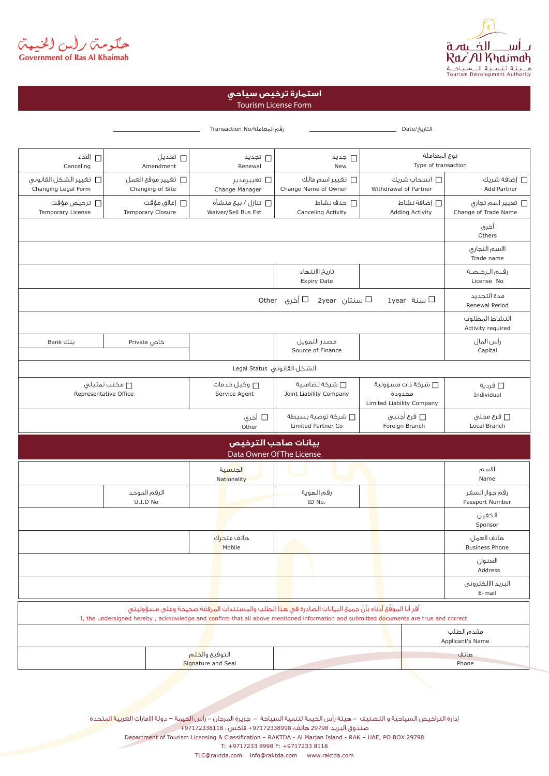

حکومتر رأس الخنبهتر<br>Government of Ras Al Khaimah

## Tourism License Form **استمارة ترخيص سياحي**

|                                                |                          |                                        | رقم المعاملة/Transaction No                      |                                                                                                                                                                                                                                                                | التاريخ/Date                                                      |                                           |
|------------------------------------------------|--------------------------|----------------------------------------|--------------------------------------------------|----------------------------------------------------------------------------------------------------------------------------------------------------------------------------------------------------------------------------------------------------------------|-------------------------------------------------------------------|-------------------------------------------|
| □ إلغاء<br>Canceling                           |                          | □ تعديل<br>Amendment                   | □ تجدید<br>Renewal                               | □ جديد<br>New                                                                                                                                                                                                                                                  |                                                                   | نوع المعاملة<br>Type of transaction       |
| □ تغيير الشكل القانونى<br>Changing Legal Form  |                          | ستغيير موقع العمل<br>Changing of Site  | □ تغییرمدیر<br>Change Manager                    | □ تغيير اسم مالك<br>Change Name of Owner                                                                                                                                                                                                                       | □ انسحاب شریك<br>Withdrawal of Partner                            | ط إضافة شريك $\square$<br>Add Partner     |
| ترخيص مؤقت $\Box$<br>Temporary License         |                          | يغلاق مؤقت $\Box$<br>Temporary Closure | تنازل / بيع منشأة $\Box$<br>Waiver/Sell Bus Est  | □ حذف نشاط<br>Canceling Activity                                                                                                                                                                                                                               | □ إضافة نشاط<br><b>Adding Activity</b>                            | □ تغییر اسم تجاری<br>Change of Trade Name |
|                                                |                          |                                        |                                                  |                                                                                                                                                                                                                                                                |                                                                   | أخرى<br>Others                            |
|                                                |                          |                                        |                                                  |                                                                                                                                                                                                                                                                |                                                                   | الاسم التجارى<br>Trade name               |
|                                                |                          |                                        |                                                  | تاريخ الانتهاء<br><b>Expiry Date</b>                                                                                                                                                                                                                           |                                                                   | رقــم الــرخـصـة<br>License No            |
| □ أخرى    Other<br>سنتان 2year<br>∐ سنة  1year |                          |                                        |                                                  |                                                                                                                                                                                                                                                                |                                                                   | مدة التجديد<br>Renewal Period             |
|                                                |                          |                                        |                                                  |                                                                                                                                                                                                                                                                |                                                                   | النشاط المطلوب<br>Activity required       |
| بنك Bank                                       | خاص Private              |                                        |                                                  | مصدر التمويل<br>Source of Finance                                                                                                                                                                                                                              |                                                                   | رأس المال<br>Capital                      |
|                                                |                          |                                        | الشكل القانونى Legal Status                      |                                                                                                                                                                                                                                                                |                                                                   |                                           |
| □ مكتب تمثيلٯ<br>Representative Office         |                          |                                        | وكيل خدمات $\Box$<br>Service Agent               | □ شركة تضامنية<br>Joint Liability Company                                                                                                                                                                                                                      | شركة ذات مسؤولية $\square$<br>محدودة<br>Limited Liability Company | □ ڧردية<br>Individual                     |
|                                                |                          |                                        | □ أخري<br>Other                                  | شركة توصية بسيطة $\Box$<br>Limited Partner Co                                                                                                                                                                                                                  | □ فرع أجنبي<br>Foreign Branch                                     | □ فرع محلي<br>Local Branch                |
|                                                |                          |                                        | بيانات صاحب الترخيص<br>Data Owner Of The License |                                                                                                                                                                                                                                                                |                                                                   |                                           |
|                                                |                          |                                        | الجنسية<br>Nationality                           |                                                                                                                                                                                                                                                                |                                                                   | الاسم<br>Name                             |
|                                                | الرقم الموحد<br>U.I.D No |                                        |                                                  | رقم الهوية<br>ID No.                                                                                                                                                                                                                                           |                                                                   | رقم جواز السغر<br>Passport Number         |
|                                                |                          |                                        |                                                  |                                                                                                                                                                                                                                                                |                                                                   | الكفيل<br>Sponsor                         |
|                                                |                          |                                        | هاتف متح <mark>رك</mark><br>Mobile               |                                                                                                                                                                                                                                                                |                                                                   | هاتف العمل<br><b>Business Phone</b>       |
|                                                |                          |                                        |                                                  |                                                                                                                                                                                                                                                                |                                                                   | العنوان<br>Address                        |
|                                                |                          |                                        |                                                  |                                                                                                                                                                                                                                                                |                                                                   | البريد الالكترونى<br>E-mail               |
|                                                |                          |                                        |                                                  | أقر أنا الموقَّع أدناه بأنَّ جميعَ البيانات الصادرة في هذا الطلب والمستندات ال <mark>مرف</mark> قة صحيحة وعلى مسؤوليتي<br>I, the undersigned hereby, acknowledge and confirm that all above mentioned information and submitted documents are true and correct |                                                                   |                                           |
|                                                |                          |                                        |                                                  |                                                                                                                                                                                                                                                                |                                                                   | مقدم الطلب                                |
|                                                |                          |                                        |                                                  |                                                                                                                                                                                                                                                                |                                                                   | Applicant's Name                          |

إدارة التراخيص السياحية و التصنيف - هيئة رأس الخيمة لتنمية السياحة - جزيرة المرجان - رأس الخيمة – دولة الامارات العربية المتحدة صندوق البريد 29798 هاتف: +97172338998 فاكس : +97172338118 Department of Tourism Licensing & Classification - RAKTDA - Al Marjan Island - RAK - UAE, PO BOX 29798 T: +9717233 8998 F: +9717233 8118

TLC@raktda.com info@raktda.com www.raktda.com